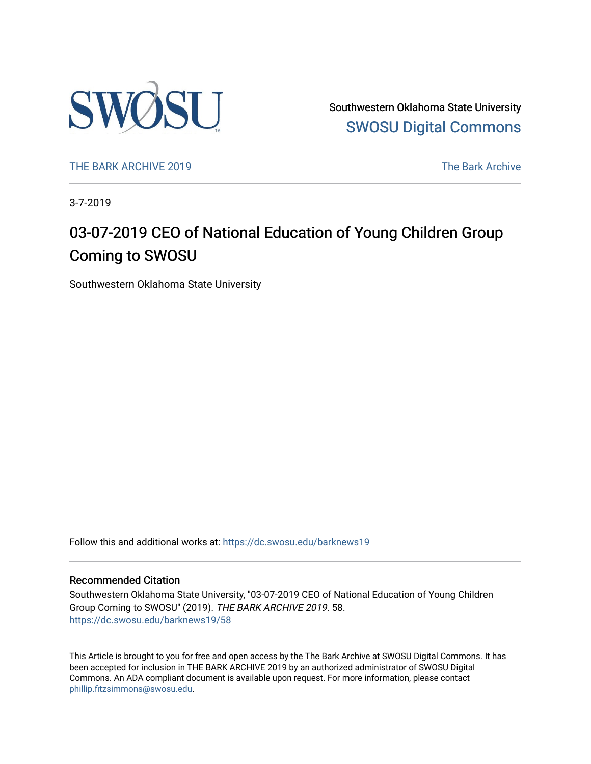

Southwestern Oklahoma State University [SWOSU Digital Commons](https://dc.swosu.edu/) 

[THE BARK ARCHIVE 2019](https://dc.swosu.edu/barknews19) The Bark Archive

3-7-2019

## 03-07-2019 CEO of National Education of Young Children Group Coming to SWOSU

Southwestern Oklahoma State University

Follow this and additional works at: [https://dc.swosu.edu/barknews19](https://dc.swosu.edu/barknews19?utm_source=dc.swosu.edu%2Fbarknews19%2F58&utm_medium=PDF&utm_campaign=PDFCoverPages)

#### Recommended Citation

Southwestern Oklahoma State University, "03-07-2019 CEO of National Education of Young Children Group Coming to SWOSU" (2019). THE BARK ARCHIVE 2019. 58. [https://dc.swosu.edu/barknews19/58](https://dc.swosu.edu/barknews19/58?utm_source=dc.swosu.edu%2Fbarknews19%2F58&utm_medium=PDF&utm_campaign=PDFCoverPages) 

This Article is brought to you for free and open access by the The Bark Archive at SWOSU Digital Commons. It has been accepted for inclusion in THE BARK ARCHIVE 2019 by an authorized administrator of SWOSU Digital Commons. An ADA compliant document is available upon request. For more information, please contact [phillip.fitzsimmons@swosu.edu](mailto:phillip.fitzsimmons@swosu.edu).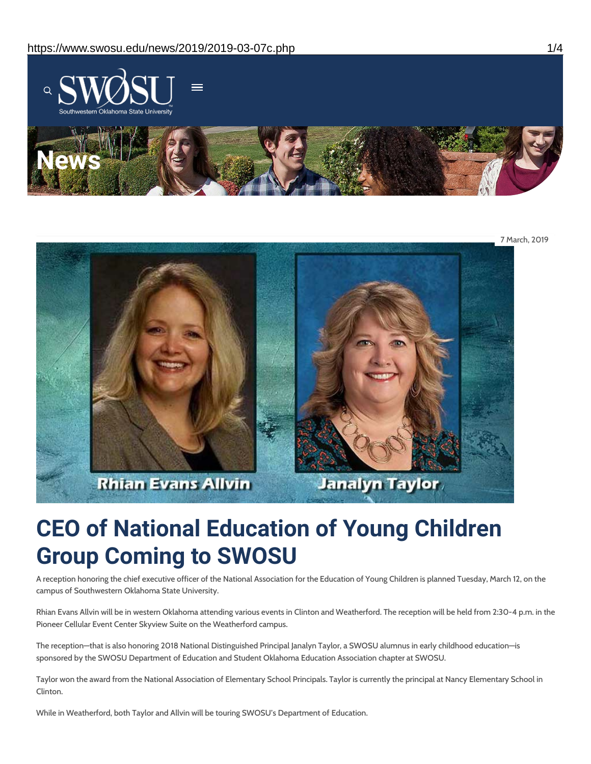

7 March, 2019



# **CEO of National Education of Young Children Group Coming to SWOSU**

A reception honoring the chief executive officer of the National Association for the Education of Young Children is planned Tuesday, March 12, on the campus of Southwestern Oklahoma State University.

Rhian Evans Allvin will be in western Oklahoma attending various events in Clinton and Weatherford. The reception will be held from 2:30-4 p.m. in the Pioneer Cellular Event Center Skyview Suite on the Weatherford campus.

The reception—that is also honoring 2018 National Distinguished Principal Janalyn Taylor, a SWOSU alumnus in early childhood education—is sponsored by the SWOSU Department of Education and Student Oklahoma Education Association chapter at SWOSU.

Taylor won the award from the National Association of Elementary School Principals. Taylor is currently the principal at Nancy Elementary School in Clinton.

While in Weatherford, both Taylor and Allvin will be touring SWOSU's Department of Education.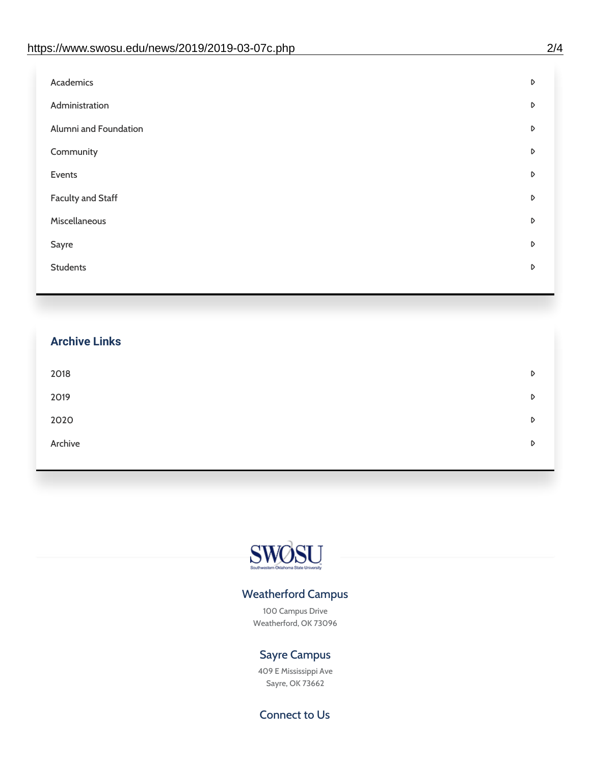| D |
|---|
| D |
| D |
| D |
| D |
| D |
| D |
| D |
| D |
|   |

| <b>Archive Links</b> |   |
|----------------------|---|
| 2018                 | D |
| 2019                 | D |
| 2020                 | D |
| Archive              | D |

![](_page_2_Picture_3.jpeg)

### Weatherford Campus

100 Campus Drive Weatherford, OK 73096

### Sayre Campus

409 E Mississippi Ave Sayre, OK 73662

Connect to Us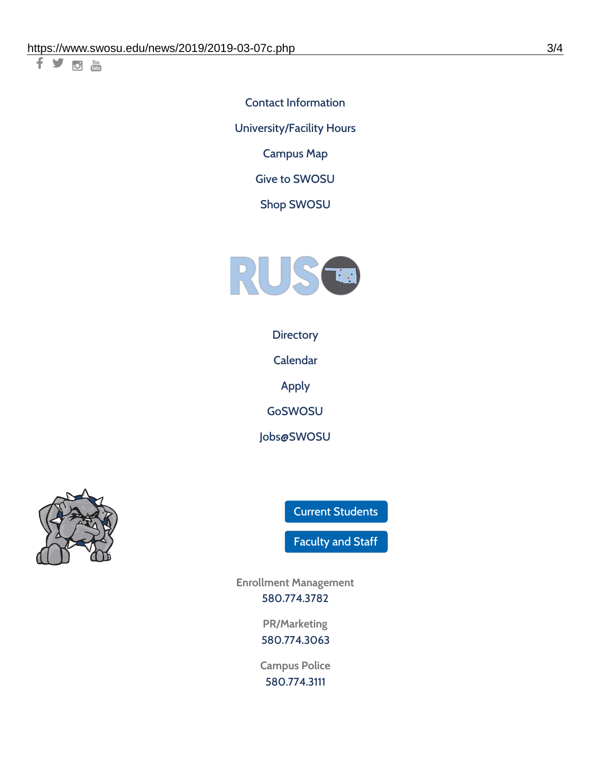千岁回调

Contact [Information](https://www.swosu.edu/about/contact.php) [University/Facility](https://www.swosu.edu/about/operating-hours.php) Hours [Campus](https://map.concept3d.com/?id=768#!ct/10964,10214,10213,10212,10205,10204,10203,10202,10136,10129,10128,0,31226,10130,10201,10641,0) Map

Give to [SWOSU](https://standingfirmly.com/donate)

Shop [SWOSU](https://shopswosu.merchorders.com/)

![](_page_3_Picture_5.jpeg)

**[Directory](https://www.swosu.edu/directory/index.php)** 

[Calendar](https://eventpublisher.dudesolutions.com/swosu/)

[Apply](https://www.swosu.edu/admissions/apply-to-swosu.php)

[GoSWOSU](https://qlsso.quicklaunchsso.com/home/1267)

[Jobs@SWOSU](https://swosu.csod.com/ux/ats/careersite/1/home?c=swosu)

![](_page_3_Picture_11.jpeg)

Current [Students](https://bulldog.swosu.edu/index.php)

[Faculty](https://bulldog.swosu.edu/faculty-staff/index.php) and Staff

**Enrollment Management** [580.774.3782](tel:5807743782)

> **PR/Marketing** [580.774.3063](tel:5807743063)

**Campus Police** [580.774.3111](tel:5807743111)